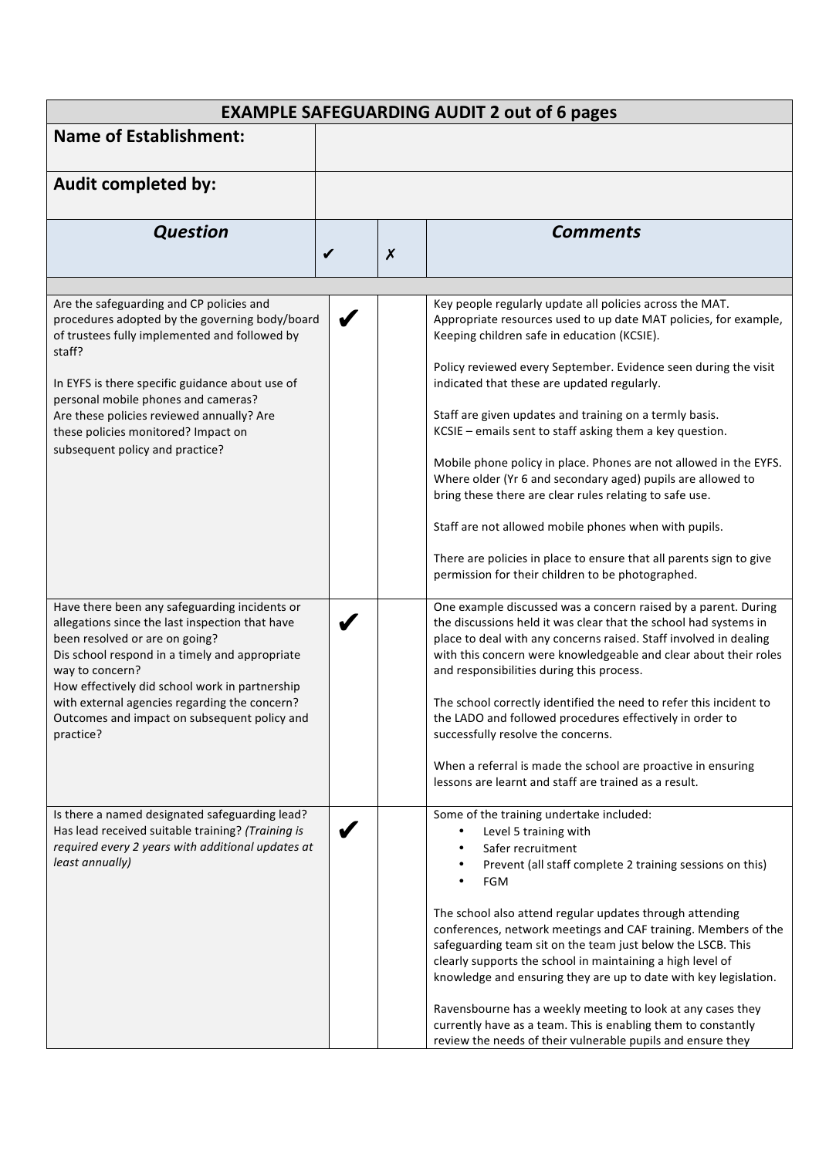| <b>EXAMPLE SAFEGUARDING AUDIT 2 out of 6 pages</b>                                                                                                                                                      |              |                  |                                                                                                                                                                                                                                                                                                                                                                                                                                                             |  |
|---------------------------------------------------------------------------------------------------------------------------------------------------------------------------------------------------------|--------------|------------------|-------------------------------------------------------------------------------------------------------------------------------------------------------------------------------------------------------------------------------------------------------------------------------------------------------------------------------------------------------------------------------------------------------------------------------------------------------------|--|
| <b>Name of Establishment:</b>                                                                                                                                                                           |              |                  |                                                                                                                                                                                                                                                                                                                                                                                                                                                             |  |
| <b>Audit completed by:</b>                                                                                                                                                                              |              |                  |                                                                                                                                                                                                                                                                                                                                                                                                                                                             |  |
| <b>Question</b>                                                                                                                                                                                         |              |                  | <b>Comments</b>                                                                                                                                                                                                                                                                                                                                                                                                                                             |  |
|                                                                                                                                                                                                         | $\checkmark$ | $\boldsymbol{x}$ |                                                                                                                                                                                                                                                                                                                                                                                                                                                             |  |
|                                                                                                                                                                                                         |              |                  |                                                                                                                                                                                                                                                                                                                                                                                                                                                             |  |
| Are the safeguarding and CP policies and<br>procedures adopted by the governing body/board<br>of trustees fully implemented and followed by<br>staff?                                                   |              |                  | Key people regularly update all policies across the MAT.<br>Appropriate resources used to up date MAT policies, for example,<br>Keeping children safe in education (KCSIE).                                                                                                                                                                                                                                                                                 |  |
| In EYFS is there specific guidance about use of<br>personal mobile phones and cameras?                                                                                                                  |              |                  | Policy reviewed every September. Evidence seen during the visit<br>indicated that these are updated regularly.                                                                                                                                                                                                                                                                                                                                              |  |
| Are these policies reviewed annually? Are<br>these policies monitored? Impact on<br>subsequent policy and practice?                                                                                     |              |                  | Staff are given updates and training on a termly basis.<br>KCSIE - emails sent to staff asking them a key question.                                                                                                                                                                                                                                                                                                                                         |  |
|                                                                                                                                                                                                         |              |                  | Mobile phone policy in place. Phones are not allowed in the EYFS.<br>Where older (Yr 6 and secondary aged) pupils are allowed to<br>bring these there are clear rules relating to safe use.                                                                                                                                                                                                                                                                 |  |
|                                                                                                                                                                                                         |              |                  | Staff are not allowed mobile phones when with pupils.                                                                                                                                                                                                                                                                                                                                                                                                       |  |
|                                                                                                                                                                                                         |              |                  | There are policies in place to ensure that all parents sign to give<br>permission for their children to be photographed.                                                                                                                                                                                                                                                                                                                                    |  |
| Have there been any safeguarding incidents or<br>allegations since the last inspection that have<br>been resolved or are on going?<br>Dis school respond in a timely and appropriate<br>way to concern? |              |                  | One example discussed was a concern raised by a parent. During<br>the discussions held it was clear that the school had systems in<br>place to deal with any concerns raised. Staff involved in dealing<br>with this concern were knowledgeable and clear about their roles<br>and responsibilities during this process.                                                                                                                                    |  |
| How effectively did school work in partnership<br>with external agencies regarding the concern?<br>Outcomes and impact on subsequent policy and<br>practice?                                            |              |                  | The school correctly identified the need to refer this incident to<br>the LADO and followed procedures effectively in order to<br>successfully resolve the concerns.                                                                                                                                                                                                                                                                                        |  |
|                                                                                                                                                                                                         |              |                  | When a referral is made the school are proactive in ensuring<br>lessons are learnt and staff are trained as a result.                                                                                                                                                                                                                                                                                                                                       |  |
| Is there a named designated safeguarding lead?<br>Has lead received suitable training? (Training is<br>required every 2 years with additional updates at<br>least annually)                             |              |                  | Some of the training undertake included:<br>Level 5 training with<br>$\bullet$<br>Safer recruitment<br>Prevent (all staff complete 2 training sessions on this)<br>$\bullet$<br><b>FGM</b><br>$\bullet$                                                                                                                                                                                                                                                     |  |
|                                                                                                                                                                                                         |              |                  | The school also attend regular updates through attending<br>conferences, network meetings and CAF training. Members of the<br>safeguarding team sit on the team just below the LSCB. This<br>clearly supports the school in maintaining a high level of<br>knowledge and ensuring they are up to date with key legislation.<br>Ravensbourne has a weekly meeting to look at any cases they<br>currently have as a team. This is enabling them to constantly |  |
|                                                                                                                                                                                                         |              |                  | review the needs of their vulnerable pupils and ensure they                                                                                                                                                                                                                                                                                                                                                                                                 |  |